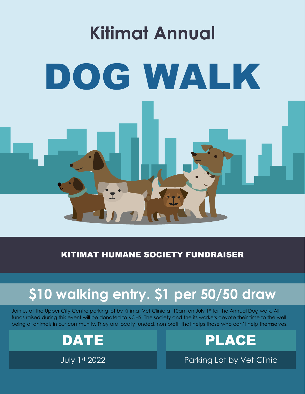

KITIMAT HUMANE SOCIETY FUNDRAISER

## **\$10 walking entry. \$1 per 50/50 draw**

Join us at the Upper City Centre parking lot by Kitimat Vet Clinic at 10am on July 1st for the Annual Dog walk. All funds raised during this event will be donated to KCHS. The society and the its workers devote their time to the well being of animals in our community. They are locally funded, non profit that helps those who can't help themselves.

DATE PLACE

July 1st 2022 Parking Lot by Vet Clinic